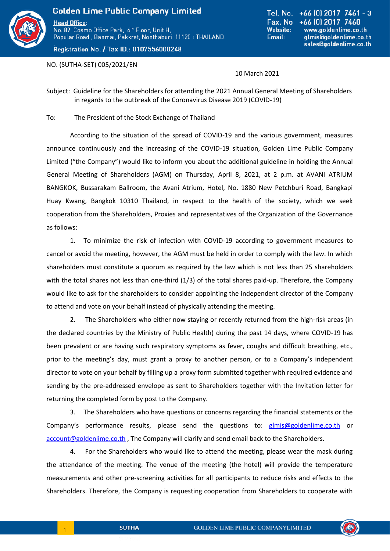

Registration No. / Tax ID.: 0107556000248

Tel. No.  $+66$  (0) 2017 7461 - 3 Fax. No +66 [0] 2017 7460 Website: www.goldenlime.co.th glmis@goldenlime.co.th Email: sales@goldenlime.co.th

NO. (SUTHA-SET) 005/2021/EN

## 10 March 2021

Subject: Guideline for the Shareholders for attending the 2021 Annual General Meeting of Shareholders in regards to the outbreak of the Coronavirus Disease 2019 (COVID-19)

## To: The President of the Stock Exchange of Thailand

According to the situation of the spread of COVID-19 and the various government, measures announce continuously and the increasing of the COVID-19 situation, Golden Lime Public Company Limited ("the Company") would like to inform you about the additional guideline in holding the Annual General Meeting of Shareholders (AGM) on Thursday, April 8, 2021, at 2 p.m. at AVANI ATRIUM BANGKOK, Bussarakam Ballroom, the Avani Atrium, Hotel, No. 1880 New Petchburi Road, Bangkapi Huay Kwang, Bangkok 10310 Thailand, in respect to the health of the society, which we seek cooperation from the Shareholders, Proxies and representatives of the Organization of the Governance as follows:

1. To minimize the risk of infection with COVID-19 according to government measures to cancel or avoid the meeting, however, the AGM must be held in order to comply with the law. In which shareholders must constitute a quorum as required by the law which is not less than 25 shareholders with the total shares not less than one-third (1/3) of the total shares paid-up. Therefore, the Company would like to ask for the shareholders to consider appointing the independent director of the Company to attend and vote on your behalf instead of physically attending the meeting.

2. The Shareholders who either now staying or recently returned from the high-risk areas (in the declared countries by the Ministry of Public Health) during the past 14 days, where COVID-19 has been prevalent or are having such respiratory symptoms as fever, coughs and difficult breathing, etc., prior to the meeting's day, must grant a proxy to another person, or to a Company's independent director to vote on your behalf by filling up a proxy form submitted together with required evidence and sending by the pre-addressed envelope as sent to Shareholders together with the Invitation letter for returning the completed form by post to the Company.

3. The Shareholders who have questions or concerns regarding the financial statements or the Company's performance results, please send the questions to: [glmis@goldenlime.co.th](mailto:glmis@goldenlime.co.th) or [account@goldenlime.co.th](mailto:account@goldenlime.co.th), The Company will clarify and send email back to the Shareholders.

For the Shareholders who would like to attend the meeting, please wear the mask during the attendance of the meeting. The venue of the meeting (the hotel) will provide the temperature measurements and other pre-screening activities for all participants to reduce risks and effects to the Shareholders. Therefore, the Company is requesting cooperation from Shareholders to cooperate with

l,

1